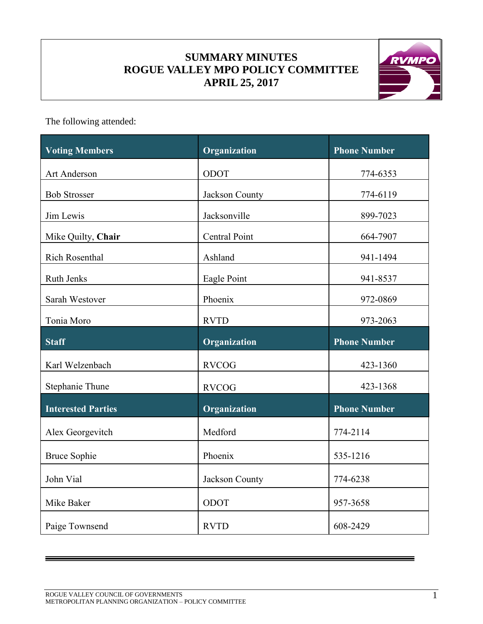# **SUMMARY MINUTES ROGUE VALLEY MPO POLICY COMMITTEE APRIL 25, 2017**



The following attended:

| <b>Voting Members</b>     | Organization   | <b>Phone Number</b> |
|---------------------------|----------------|---------------------|
| Art Anderson              | ODOT           | 774-6353            |
| <b>Bob Strosser</b>       | Jackson County | 774-6119            |
| Jim Lewis                 | Jacksonville   | 899-7023            |
| Mike Quilty, Chair        | Central Point  | 664-7907            |
| <b>Rich Rosenthal</b>     | Ashland        | 941-1494            |
| <b>Ruth Jenks</b>         | Eagle Point    | 941-8537            |
| Sarah Westover            | Phoenix        | 972-0869            |
| Tonia Moro                | <b>RVTD</b>    | 973-2063            |
| <b>Staff</b>              | Organization   | <b>Phone Number</b> |
| Karl Welzenbach           | <b>RVCOG</b>   | 423-1360            |
| Stephanie Thune           | <b>RVCOG</b>   | 423-1368            |
| <b>Interested Parties</b> | Organization   | <b>Phone Number</b> |
| Alex Georgevitch          | Medford        | 774-2114            |
| <b>Bruce Sophie</b>       | Phoenix        | 535-1216            |
| John Vial                 | Jackson County | 774-6238            |
| Mike Baker                | ODOT           | 957-3658            |
| Paige Townsend            | <b>RVTD</b>    | 608-2429            |

=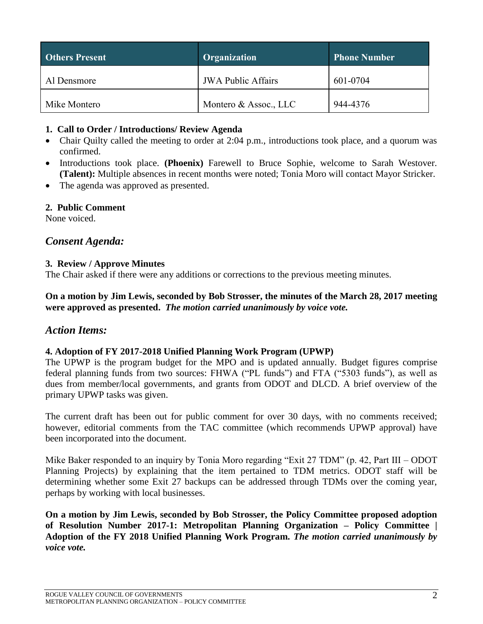| <b>Others Present</b> | Organization              | <b>Phone Number</b> |
|-----------------------|---------------------------|---------------------|
| Al Densmore           | <b>JWA Public Affairs</b> | 601-0704            |
| Mike Montero          | Montero & Assoc., LLC     | 944-4376            |

#### **1. Call to Order / Introductions/ Review Agenda**

- Chair Quilty called the meeting to order at 2:04 p.m., introductions took place, and a quorum was confirmed.
- Introductions took place. **(Phoenix)** Farewell to Bruce Sophie, welcome to Sarah Westover. **(Talent):** Multiple absences in recent months were noted; Tonia Moro will contact Mayor Stricker.
- The agenda was approved as presented.

#### **2. Public Comment**

None voiced.

## *Consent Agenda:*

#### **3. Review / Approve Minutes**

The Chair asked if there were any additions or corrections to the previous meeting minutes.

**On a motion by Jim Lewis, seconded by Bob Strosser, the minutes of the March 28, 2017 meeting were approved as presented.** *The motion carried unanimously by voice vote.*

### *Action Items:*

#### **4. Adoption of FY 2017-2018 Unified Planning Work Program (UPWP)**

The UPWP is the program budget for the MPO and is updated annually. Budget figures comprise federal planning funds from two sources: FHWA ("PL funds") and FTA ("5303 funds"), as well as dues from member/local governments, and grants from ODOT and DLCD. A brief overview of the primary UPWP tasks was given.

The current draft has been out for public comment for over 30 days, with no comments received; however, editorial comments from the TAC committee (which recommends UPWP approval) have been incorporated into the document.

Mike Baker responded to an inquiry by Tonia Moro regarding "Exit 27 TDM" (p. 42, Part III – ODOT Planning Projects) by explaining that the item pertained to TDM metrics. ODOT staff will be determining whether some Exit 27 backups can be addressed through TDMs over the coming year, perhaps by working with local businesses.

**On a motion by Jim Lewis, seconded by Bob Strosser, the Policy Committee proposed adoption of Resolution Number 2017-1: Metropolitan Planning Organization – Policy Committee | Adoption of the FY 2018 Unified Planning Work Program.** *The motion carried unanimously by voice vote.*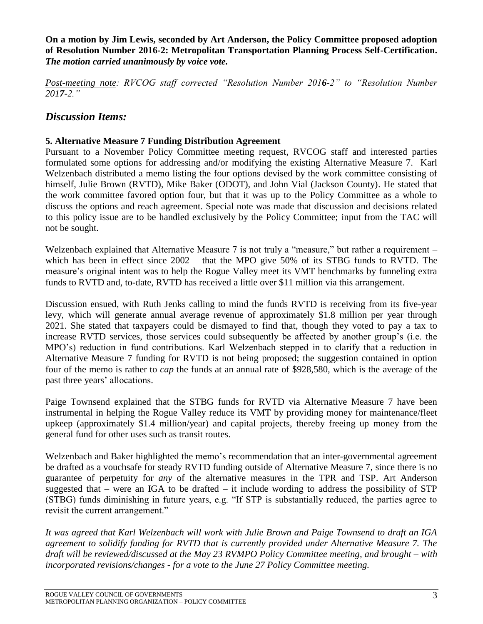**On a motion by Jim Lewis, seconded by Art Anderson, the Policy Committee proposed adoption of Resolution Number 2016-2: Metropolitan Transportation Planning Process Self-Certification.**  *The motion carried unanimously by voice vote.*

*Post-meeting note: RVCOG staff corrected "Resolution Number 2016-2" to "Resolution Number 2017-2."*

# *Discussion Items:*

### **5. Alternative Measure 7 Funding Distribution Agreement**

Pursuant to a November Policy Committee meeting request, RVCOG staff and interested parties formulated some options for addressing and/or modifying the existing Alternative Measure 7. Karl Welzenbach distributed a memo listing the four options devised by the work committee consisting of himself, Julie Brown (RVTD), Mike Baker (ODOT), and John Vial (Jackson County). He stated that the work committee favored option four, but that it was up to the Policy Committee as a whole to discuss the options and reach agreement. Special note was made that discussion and decisions related to this policy issue are to be handled exclusively by the Policy Committee; input from the TAC will not be sought.

Welzenbach explained that Alternative Measure 7 is not truly a "measure," but rather a requirement – which has been in effect since 2002 – that the MPO give 50% of its STBG funds to RVTD. The measure's original intent was to help the Rogue Valley meet its VMT benchmarks by funneling extra funds to RVTD and, to-date, RVTD has received a little over \$11 million via this arrangement.

Discussion ensued, with Ruth Jenks calling to mind the funds RVTD is receiving from its five-year levy, which will generate annual average revenue of approximately \$1.8 million per year through 2021. She stated that taxpayers could be dismayed to find that, though they voted to pay a tax to increase RVTD services, those services could subsequently be affected by another group's (i.e. the MPO's) reduction in fund contributions. Karl Welzenbach stepped in to clarify that a reduction in Alternative Measure 7 funding for RVTD is not being proposed; the suggestion contained in option four of the memo is rather to *cap* the funds at an annual rate of \$928,580, which is the average of the past three years' allocations.

Paige Townsend explained that the STBG funds for RVTD via Alternative Measure 7 have been instrumental in helping the Rogue Valley reduce its VMT by providing money for maintenance/fleet upkeep (approximately \$1.4 million/year) and capital projects, thereby freeing up money from the general fund for other uses such as transit routes.

Welzenbach and Baker highlighted the memo's recommendation that an inter-governmental agreement be drafted as a vouchsafe for steady RVTD funding outside of Alternative Measure 7, since there is no guarantee of perpetuity for *any* of the alternative measures in the TPR and TSP. Art Anderson suggested that – were an IGA to be drafted – it include wording to address the possibility of  $STP$ (STBG) funds diminishing in future years, e.g. "If STP is substantially reduced, the parties agree to revisit the current arrangement."

*It was agreed that Karl Welzenbach will work with Julie Brown and Paige Townsend to draft an IGA agreement to solidify funding for RVTD that is currently provided under Alternative Measure 7. The draft will be reviewed/discussed at the May 23 RVMPO Policy Committee meeting, and brought – with incorporated revisions/changes - for a vote to the June 27 Policy Committee meeting.*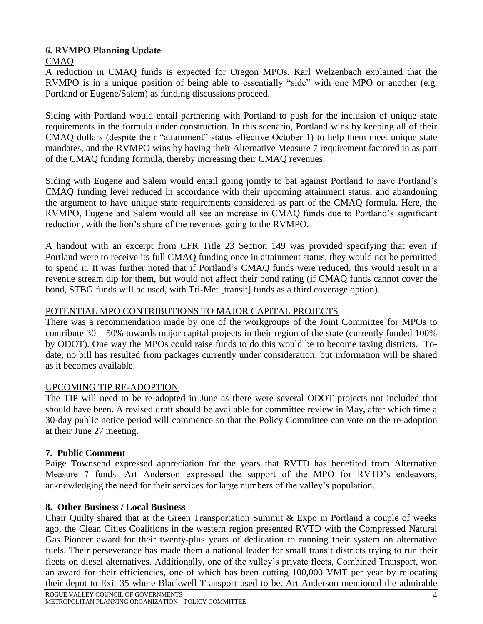#### **6. RVMPO Planning Update** CMAQ

A reduction in CMAQ funds is expected for Oregon MPOs. Karl Welzenbach explained that the RVMPO is in a unique position of being able to essentially "side" with one MPO or another (e.g. Portland or Eugene/Salem) as funding discussions proceed.

Siding with Portland would entail partnering with Portland to push for the inclusion of unique state requirements in the formula under construction. In this scenario, Portland wins by keeping all of their CMAQ dollars (despite their "attainment" status effective October 1) to help them meet unique state mandates, and the RVMPO wins by having their Alternative Measure 7 requirement factored in as part of the CMAQ funding formula, thereby increasing their CMAQ revenues.

Siding with Eugene and Salem would entail going jointly to bat against Portland to have Portland's CMAQ funding level reduced in accordance with their upcoming attainment status, and abandoning the argument to have unique state requirements considered as part of the CMAQ formula. Here, the RVMPO, Eugene and Salem would all see an increase in CMAQ funds due to Portland's significant reduction, with the lion's share of the revenues going to the RVMPO.

A handout with an excerpt from CFR Title 23 Section 149 was provided specifying that even if Portland were to receive its full CMAQ funding once in attainment status, they would not be permitted to spend it. It was further noted that if Portland's CMAQ funds were reduced, this would result in a revenue stream dip for them, but would not affect their bond rating (if CMAQ funds cannot cover the bond, STBG funds will be used, with Tri-Met [transit] funds as a third coverage option).

## POTENTIAL MPO CONTRIBUTIONS TO MAJOR CAPITAL PROJECTS

There was a recommendation made by one of the workgroups of the Joint Committee for MPOs to contribute 30 – 50% towards major capital projects in their region of the state (currently funded 100% by ODOT). One way the MPOs could raise funds to do this would be to become taxing districts. Todate, no bill has resulted from packages currently under consideration, but information will be shared as it becomes available.

# UPCOMING TIP RE-ADOPTION

The TIP will need to be re-adopted in June as there were several ODOT projects not included that should have been. A revised draft should be available for committee review in May, after which time a 30-day public notice period will commence so that the Policy Committee can vote on the re-adoption at their June 27 meeting.

# **7. Public Comment**

Paige Townsend expressed appreciation for the years that RVTD has benefited from Alternative Measure 7 funds. Art Anderson expressed the support of the MPO for RVTD's endeavors, acknowledging the need for their services for large numbers of the valley's population.

# **8. Other Business / Local Business**

Chair Quilty shared that at the Green Transportation Summit & Expo in Portland a couple of weeks ago, the Clean Cities Coalitions in the western region presented RVTD with the Compressed Natural Gas Pioneer award for their twenty-plus years of dedication to running their system on alternative fuels. Their perseverance has made them a national leader for small transit districts trying to run their fleets on diesel alternatives. Additionally, one of the valley's private fleets, Combined Transport, won an award for their efficiencies, one of which has been cutting 100,000 VMT per year by relocating their depot to Exit 35 where Blackwell Transport used to be. Art Anderson mentioned the admirable